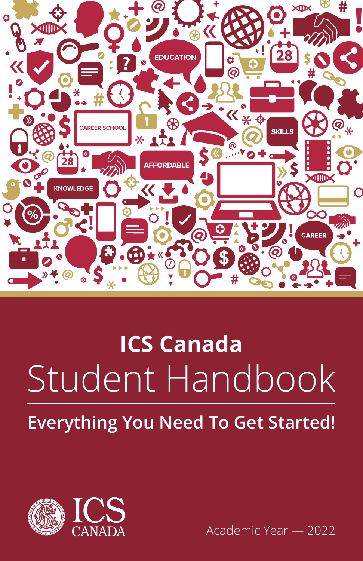

# Student Handbook **ICS Canada Everything You Need To Get Started!**



Academic Year — 2022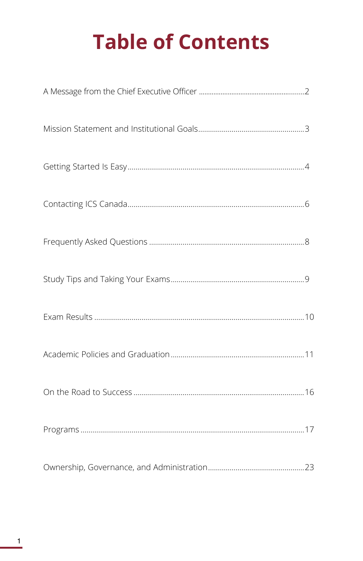# **Table of Contents**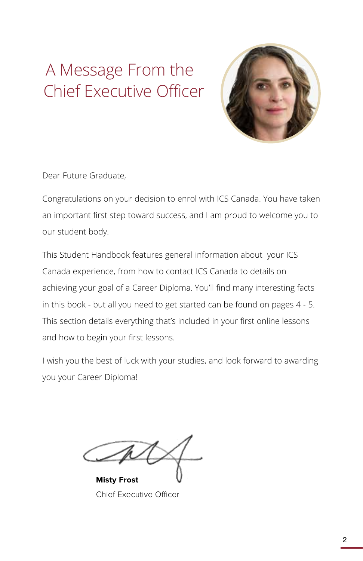# A Message From the Chief Executive Officer



Dear Future Graduate,

Congratulations on your decision to enrol with ICS Canada. You have taken an important first step toward success, and I am proud to welcome you to our student body.

This Student Handbook features general information about your ICS Canada experience, from how to contact ICS Canada to details on achieving your goal of a Career Diploma. You'll find many interesting facts in this book - but all you need to get started can be found on pages 4 - 5. This section details everything that's included in your first online lessons and how to begin your first lessons.

I wish you the best of luck with your studies, and look forward to awarding you your Career Diploma!

**Misty Frost**

Chief Executive Officer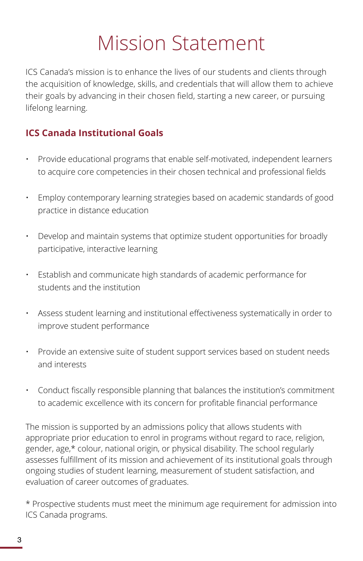# Mission Statement

ICS Canada's mission is to enhance the lives of our students and clients through the acquisition of knowledge, skills, and credentials that will allow them to achieve their goals by advancing in their chosen field, starting a new career, or pursuing lifelong learning.

### **ICS Canada Institutional Goals**

- Provide educational programs that enable self-motivated, independent learners to acquire core competencies in their chosen technical and professional fields
- Employ contemporary learning strategies based on academic standards of good practice in distance education
- Develop and maintain systems that optimize student opportunities for broadly participative, interactive learning
- Establish and communicate high standards of academic performance for students and the institution
- Assess student learning and institutional effectiveness systematically in order to improve student performance
- Provide an extensive suite of student support services based on student needs and interests
- Conduct fiscally responsible planning that balances the institution's commitment to academic excellence with its concern for profitable financial performance

The mission is supported by an admissions policy that allows students with appropriate prior education to enrol in programs without regard to race, religion, gender, age,\* colour, national origin, or physical disability. The school regularly assesses fulfillment of its mission and achievement of its institutional goals through ongoing studies of student learning, measurement of student satisfaction, and evaluation of career outcomes of graduates.

\* Prospective students must meet the minimum age requirement for admission into ICS Canada programs.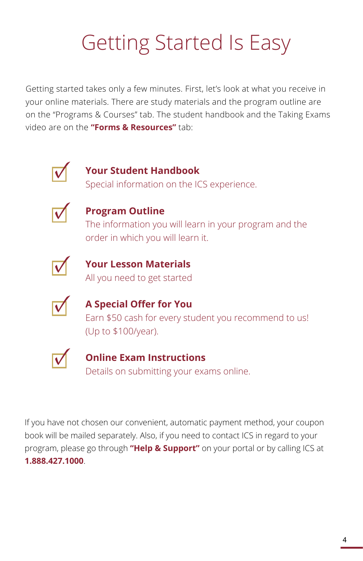# Getting Started Is Easy

Getting started takes only a few minutes. First, let's look at what you receive in your online materials. There are study materials and the program outline are on the "Programs & Courses" tab. The student handbook and the Taking Exams video are on the **"Forms & Resources"** tab:



## **Your Student Handbook**

Special information on the ICS experience.



## **Program Outline**

The information you will learn in your program and the order in which you will learn it.



### **Your Lesson Materials** All you need to get started



## **A Special Offer for You**  Earn \$50 cash for every student you recommend to us! (Up to \$100/year).



## **Online Exam Instructions** Details on submitting your exams online.

If you have not chosen our convenient, automatic payment method, your coupon book will be mailed separately. Also, if you need to contact ICS in regard to your program, please go through **"Help & Support"** on your portal or by calling ICS at **1.888.427.1000**.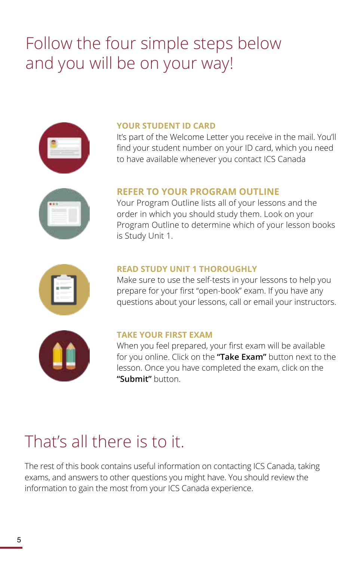# Follow the four simple steps below and you will be on your way!



### **YOUR STUDENT ID CARD**

It's part of the Welcome Letter you receive in the mail. You'll find your student number on your ID card, which you need to have available whenever you contact ICS Canada



### **REFER TO YOUR PROGRAM OUTLINE**

Your Program Outline lists all of your lessons and the order in which you should study them. Look on your Program Outline to determine which of your lesson books is Study Unit 1.



### **READ STUDY UNIT 1 THOROUGHLY**

Make sure to use the self-tests in your lessons to help you prepare for your first "open-book" exam. If you have any questions about your lessons, call or email your instructors.



### **TAKE YOUR FIRST EXAM**

When you feel prepared, your first exam will be available for you online. Click on the **"Take Exam"** button next to the lesson. Once you have completed the exam, click on the **"Submit"** button.

# That's all there is to it.

The rest of this book contains useful information on contacting ICS Canada, taking exams, and answers to other questions you might have. You should review the information to gain the most from your ICS Canada experience.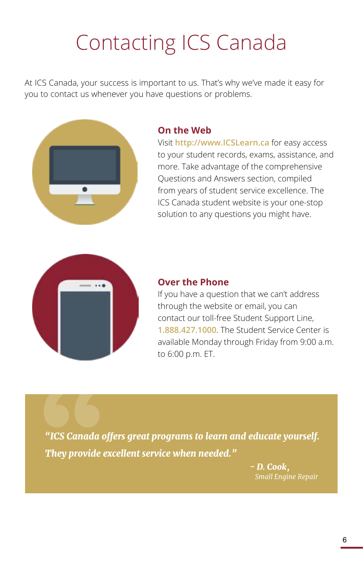# Contacting ICS Canada

At ICS Canada, your success is important to us. That's why we've made it easy for you to contact us whenever you have questions or problems.



### **On the Web**

Visit **http://www.ICSLearn.ca** for easy access to your student records, exams, assistance, and more. Take advantage of the comprehensive Questions and Answers section, compiled from years of student service excellence. The ICS Canada student website is your one-stop solution to any questions you might have.



### **Over the Phone**

If you have a question that we can't address through the website or email, you can contact our toll-free Student Support Line, **1.888.427.1000**. The Student Service Center is available Monday through Friday from 9:00 a.m. to 6:00 p.m. ET.

**Example 18**<br> **They provide example** *"ICS Canada offers great programs to learn and educate yourself. They provide excellent service when needed."*

*- D. Cook, Small Engine Repair*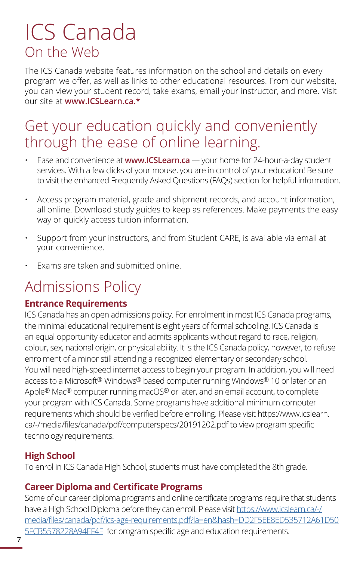# ICS Canada On the Web

The ICS Canada website features information on the school and details on every program we offer, as well as links to other educational resources. From our website, you can view your student record, take exams, email your instructor, and more. Visit our site at **www.ICSLearn.ca.\***

# Get your education quickly and conveniently through the ease of online learning.

- Ease and convenience at **www.ICSLearn.ca** your home for 24-hour-a-day student services. With a few clicks of your mouse, you are in control of your education! Be sure to visit the enhanced Frequently Asked Questions (FAQs) section for helpful information.
- Access program material, grade and shipment records, and account information, all online. Download study guides to keep as references. Make payments the easy way or quickly access tuition information.
- Support from your instructors, and from Student CARE, is available via email at your convenience.
- Exams are taken and submitted online.

# Admissions Policy

### **Entrance Requirements**

ICS Canada has an open admissions policy. For enrolment in most ICS Canada programs, the minimal educational requirement is eight years of formal schooling. ICS Canada is an equal opportunity educator and admits applicants without regard to race, religion, colour, sex, national origin, or physical ability. It is the ICS Canada policy, however, to refuse enrolment of a minor still attending a recognized elementary or secondary school. You will need high-speed internet access to begin your program. In addition, you will need access to a Microsoft® Windows® based computer running Windows® 10 or later or an Apple<sup>®</sup> Mac<sup>®</sup> computer running macOS<sup>®</sup> or later, and an email account, to complete your program with ICS Canada. Some programs have additional minimum computer requirements which should be verified before enrolling. Please visit https://www.icslearn. ca/-/media/files/canada/pdf/computerspecs/20191202.pdf to view program specific technology requirements.

## **High School**

To enrol in ICS Canada High School, students must have completed the 8th grade.

### **Career Diploma and Certificate Programs**

Some of our career diploma programs and online certificate programs require that students have a High School Diploma before they can enroll. Please visit [https://www.icslearn.ca/-/](https://www.icslearn.ca/-/media/files/canada/pdf/ics-age-requirements.pdf?la=en&hash=DD2F5EE8ED535712A61D505FCB5578228A94EF4E) [media/files/canada/pdf/ics-age-requirements.pdf?la=en&hash=DD2F5EE8ED535712A61D50](https://www.icslearn.ca/-/media/files/canada/pdf/ics-age-requirements.pdf?la=en&hash=DD2F5EE8ED535712A61D505FCB5578228A94EF4E) **SFCB5578228A94EF4E** for program specific age and education requirements.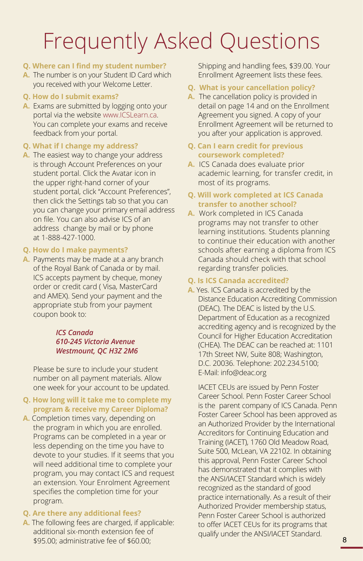# Frequently Asked Questions

### **Q. Where can I find my student number?**

**A.** The number is on your Student ID Card which you received with your Welcome Letter.

### **Q. How do I submit exams?**

**A.** Exams are submitted by logging onto your portal via the website www.ICSLearn.ca. You can complete your exams and receive feedback from your portal.

### **Q. What if I change my address?**

**A.** The easiest way to change your address is through Account Preferences on your student portal. Click the Avatar icon in the upper right-hand corner of your student portal, click "Account Preferences", then click the Settings tab so that you can you can change your primary email address on file. You can also advise ICS of an address change by mail or by phone at 1-888-427-1000.

### **Q. How do I make payments?**

**A.** Payments may be made at a any branch of the Royal Bank of Canada or by mail. ICS accepts payment by cheque, money order or credit card ( Visa, MasterCard and AMEX). Send your payment and the appropriate stub from your payment coupon book to:

### *ICS Canada 610-245 Victoria Avenue Westmount, QC H3Z 2M6*

Please be sure to include your student number on all payment materials. Allow one week for your account to be updated.

### **Q. How long will it take me to complete my program & receive my Career Diploma?**

**A.** Completion times vary, depending on the program in which you are enrolled. Programs can be completed in a year or less depending on the time you have to devote to your studies. If it seems that you will need additional time to complete your program, you may contact ICS and request an extension. Your Enrolment Agreement specifies the completion time for your program.

### **Q. Are there any additional fees?**

**A.** The following fees are charged, if applicable: additional six-month extension fee of \$95.00; administrative fee of \$60.00;

Shipping and handling fees, \$39.00. Your Enrollment Agreement lists these fees.

### **Q. What is your cancellation policy?**

**A.** The cancellation policy is provided in detail on page 14 and on the Enrollment Agreement you signed. A copy of your Enrollment Agreement will be returned to you after your application is approved.

### **Q. Can I earn credit for previous coursework completed?**

**A.** ICS Canada does evaluate prior academic learning, for transfer credit, in most of its programs.

### **Q. Will work completed at ICS Canada transfer to another school?**

**A.** Work completed in ICS Canada programs may not transfer to other learning institutions. Students planning to continue their education with another schools after earning a diploma from ICS Canada should check with that school regarding transfer policies.

### **Q. Is ICS Canada accredited?**

**A.** Yes. ICS Canada is accredited by the Distance Education Accrediting Commission (DEAC). The DEAC is listed by the U.S. Department of Education as a recognized accrediting agency and is recognized by the Council for Higher Education Accreditation (CHEA). The DEAC can be reached at: 1101 17th Street NW, Suite 808; Washington, D.C. 20036. Telephone: 202.234.5100; E-Mail: info@deac.org

IACET CEUs are issued by Penn Foster Career School. Penn Foster Career School is the parent company of ICS Canada. Penn Foster Career School has been approved as an Authorized Provider by the International Accreditors for Continuing Education and Training (IACET), 1760 Old Meadow Road, Suite 500, McLean, VA 22102. In obtaining this approval, Penn Foster Career School has demonstrated that it complies with the ANSI/IACET Standard which is widely recognized as the standard of good practice internationally. As a result of their Authorized Provider membership status, Penn Foster Career School is authorized to offer IACET CEUs for its programs that qualify under the ANSI/IACET Standard.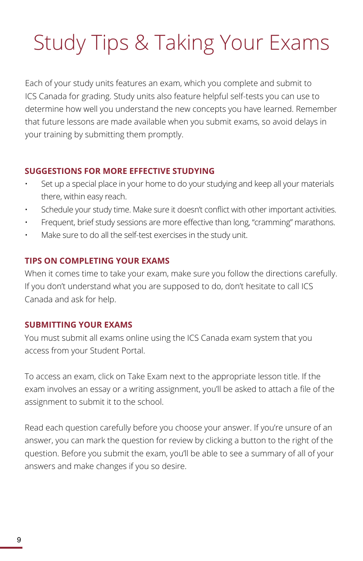# Study Tips & Taking Your Exams

Each of your study units features an exam, which you complete and submit to ICS Canada for grading. Study units also feature helpful self-tests you can use to determine how well you understand the new concepts you have learned. Remember that future lessons are made available when you submit exams, so avoid delays in your training by submitting them promptly.

### **SUGGESTIONS FOR MORE EFFECTIVE STUDYING**

- Set up a special place in your home to do your studying and keep all your materials there, within easy reach.
- Schedule your study time. Make sure it doesn't conflict with other important activities.
- Frequent, brief study sessions are more effective than long, "cramming" marathons.
- Make sure to do all the self-test exercises in the study unit.

### **TIPS ON COMPLETING YOUR EXAMS**

When it comes time to take your exam, make sure you follow the directions carefully. If you don't understand what you are supposed to do, don't hesitate to call ICS Canada and ask for help.

### **SUBMITTING YOUR EXAMS**

You must submit all exams online using the ICS Canada exam system that you access from your Student Portal.

To access an exam, click on Take Exam next to the appropriate lesson title. If the exam involves an essay or a writing assignment, you'll be asked to attach a file of the assignment to submit it to the school.

Read each question carefully before you choose your answer. If you're unsure of an answer, you can mark the question for review by clicking a button to the right of the question. Before you submit the exam, you'll be able to see a summary of all of your answers and make changes if you so desire.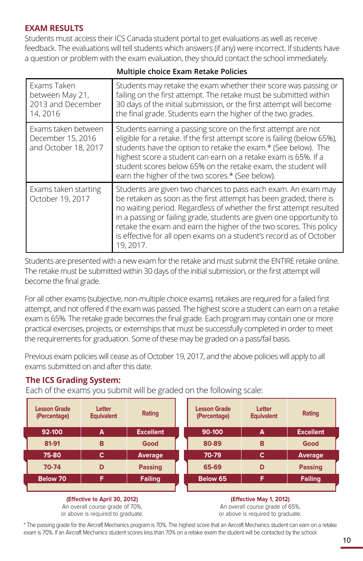### **EXAM RESULTS**

Students must access their ICS Canada student portal to get evaluations as well as receive feedback. The evaluations will tell students which answers (if any) were incorrect. If students have a question or problem with the exam evaluation, they should contact the school immediately.

| Exams Taken<br>between May 21,<br>2013 and December<br>14, 2016  | Students may retake the exam whether their score was passing or<br>failing on the first attempt. The retake must be submitted within<br>30 days of the initial submission, or the first attempt will become<br>the final grade. Students earn the higher of the two grades.                                                                                                                                                                 |
|------------------------------------------------------------------|---------------------------------------------------------------------------------------------------------------------------------------------------------------------------------------------------------------------------------------------------------------------------------------------------------------------------------------------------------------------------------------------------------------------------------------------|
| Exams taken between<br>December 15, 2016<br>and October 18, 2017 | Students earning a passing score on the first attempt are not<br>eligible for a retake. If the first attempt score is failing (below 65%),<br>students have the option to retake the exam.* (See below). The<br>highest score a student can earn on a retake exam is 65%. If a<br>student scores below 65% on the retake exam, the student will<br>earn the higher of the two scores.* (See below).                                         |
| Exams taken starting<br>October 19, 2017                         | Students are given two chances to pass each exam. An exam may<br>be retaken as soon as the first attempt has been graded; there is<br>no waiting period. Regardless of whether the first attempt resulted<br>in a passing or failing grade, students are given one opportunity to<br>retake the exam and earn the higher of the two scores. This policy<br>is effective for all open exams on a student's record as of October<br>19, 2017. |

### **Multiple choice Exam Retake Policies**

Students are presented with a new exam for the retake and must submit the ENTIRE retake online. The retake must be submitted within 30 days of the initial submission, or the first attempt will become the final grade.

For all other exams (subjective, non-multiple choice exams), retakes are required for a failed first attempt, and not offered if the exam was passed. The highest score a student can earn on a retake exam is 65%. The retake grade becomes the final grade. Each program may contain one or more practical exercises, projects, or externships that must be successfully completed in order to meet the requirements for graduation. Some of these may be graded on a pass/fail basis.

Previous exam policies will cease as of October 19, 2017, and the above policies will apply to all exams submitted on and after this date.

### **The ICS Grading System:**

Each of the exams you submit will be graded on the following scale:

| <b>Lesson Grade</b><br>(Percentage) | Letter<br><b>Equivalent</b> | Rating           |  | <b>Lesson Grade</b><br>(Percentage) | Letter<br><b>Equivalent</b> | Rating           |  |
|-------------------------------------|-----------------------------|------------------|--|-------------------------------------|-----------------------------|------------------|--|
| 92-100                              | A                           | <b>Excellent</b> |  | 90-100                              | A                           | <b>Excellent</b> |  |
| 81-91                               | в                           | Good             |  | 80-89                               | B                           | Good             |  |
| 75-80                               | c                           | <b>Average</b>   |  | 70-79                               | c                           | Average          |  |
| 70-74                               | D                           | <b>Passing</b>   |  | 65-69                               | D                           | <b>Passing</b>   |  |
| Below 70                            | F                           | <b>Failing</b>   |  | Below 65                            | F                           | <b>Failing</b>   |  |
|                                     |                             |                  |  |                                     |                             |                  |  |

**(Effective to April 30, 2012)** An overall course grade of 70%,

**(Effective May 1, 2012)** An overall course grade of 65%,

or above is required to graduate.

or above is required to graduate.

\* The passing grade for the Aircraft Mechanics program is 70%. The highest score that an Aircraft Mechanics student can earn on a retake exam is 70%. If an Aircraft Mechanics student scores less than 70% on a retake exam the student will be contacted by the school.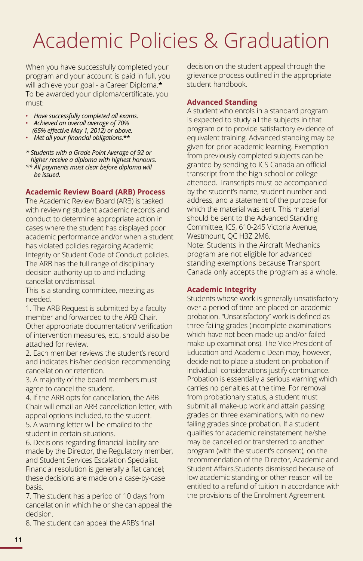# Academic Policies & Graduation

When you have successfully completed your program and your account is paid in full, you will achieve your goal - a Career Diploma.**\*** To be awarded your diploma/certificate, you must:

- *Have successfully completed all exams.*
- *Achieved an overall average of 70% (65% effective May 1, 2012) or above.*
- *Met all your financial obligations.***\*\***

*\* Students with a Grade Point Average of 92 or higher receive a diploma with highest honours.*

*\*\* All payments must clear before diploma will be issued.* 

### **Academic Review Board (ARB) Process**

The Academic Review Board (ARB) is tasked with reviewing student academic records and conduct to determine appropriate action in cases where the student has displayed poor academic performance and/or when a student has violated policies regarding Academic Integrity or Student Code of Conduct policies. The ARB has the full range of disciplinary decision authority up to and including cancellation/dismissal.

This is a standing committee, meeting as needed.

1. The ARB Request is submitted by a faculty member and forwarded to the ARB Chair. Other appropriate documentation/ verification of intervention measures, etc., should also be attached for review.

2. Each member reviews the student's record and indicates his/her decision recommending cancellation or retention.

3. A majority of the board members must agree to cancel the student.

4. If the ARB opts for cancellation, the ARB Chair will email an ARB cancellation letter, with appeal options included, to the student. 5. A warning letter will be emailed to the student in certain situations.

6. Decisions regarding financial liability are made by the Director, the Regulatory member, and Student Services Escalation Specialist. Financial resolution is generally a flat cancel; these decisions are made on a case-by-case basis.

7. The student has a period of 10 days from cancellation in which he or she can appeal the decision.

8. The student can appeal the ARB's final

decision on the student appeal through the grievance process outlined in the appropriate student handbook.

### **Advanced Standing**

A student who enrols in a standard program is expected to study all the subjects in that program or to provide satisfactory evidence of equivalent training. Advanced standing may be given for prior academic learning. Exemption from previously completed subjects can be granted by sending to ICS Canada an official transcript from the high school or college attended. Transcripts must be accompanied by the student's name, student number and address, and a statement of the purpose for which the material was sent. This material should be sent to the Advanced Standing Committee, ICS, 610-245 Victoria Avenue, Westmount, QC H3Z 2M6. Note: Students in the Aircraft Mechanics

program are not eligible for advanced standing exemptions because Transport Canada only accepts the program as a whole.

### **Academic Integrity**

Students whose work is generally unsatisfactory over a period of time are placed on academic probation. "Unsatisfactory" work is defined as three failing grades (incomplete examinations which have not been made up and/or failed make-up examinations). The Vice President of Education and Academic Dean may, however, decide not to place a student on probation if individual considerations justify continuance. Probation is essentially a serious warning which carries no penalties at the time. For removal from probationary status, a student must submit all make-up work and attain passing grades on three examinations, with no new failing grades since probation. If a student qualifies for academic reinstatement he/she may be cancelled or transferred to another program (with the student's consent), on the recommendation of the Director, Academic and Student Affairs.Students dismissed because of low academic standing or other reason will be entitled to a refund of tuition in accordance with the provisions of the Enrolment Agreement.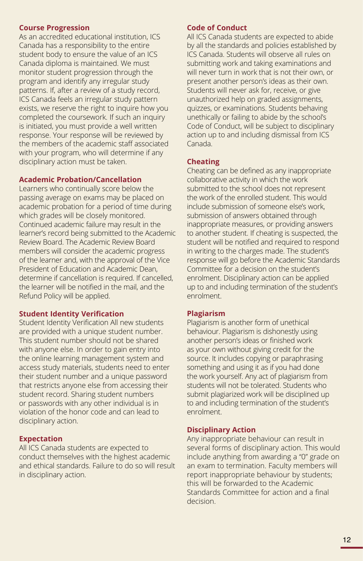### **Course Progression**

As an accredited educational institution, ICS Canada has a responsibility to the entire student body to ensure the value of an ICS Canada diploma is maintained. We must monitor student progression through the program and identify any irregular study patterns. If, after a review of a study record, ICS Canada feels an irregular study pattern exists, we reserve the right to inquire how you completed the coursework. If such an inquiry is initiated, you must provide a well written response. Your response will be reviewed by the members of the academic staff associated with your program, who will determine if any disciplinary action must be taken.

### **Academic Probation/Cancellation**

Learners who continually score below the passing average on exams may be placed on academic probation for a period of time during which grades will be closely monitored. Continued academic failure may result in the learner's record being submitted to the Academic Review Board. The Academic Review Board members will consider the academic progress of the learner and, with the approval of the Vice President of Education and Academic Dean, determine if cancellation is required. If cancelled, the learner will be notified in the mail, and the Refund Policy will be applied.

### **Student Identity Verification**

Student Identity Verification All new students are provided with a unique student number. This student number should not be shared with anyone else. In order to gain entry into the online learning management system and access study materials, students need to enter their student number and a unique password that restricts anyone else from accessing their student record. Sharing student numbers or passwords with any other individual is in violation of the honor code and can lead to disciplinary action.

### **Expectation**

All ICS Canada students are expected to conduct themselves with the highest academic and ethical standards. Failure to do so will result in disciplinary action.

### **Code of Conduct**

All ICS Canada students are expected to abide by all the standards and policies established by ICS Canada. Students will observe all rules on submitting work and taking examinations and will never turn in work that is not their own, or present another person's ideas as their own. Students will never ask for, receive, or give unauthorized help on graded assignments, quizzes, or examinations. Students behaving unethically or failing to abide by the school's Code of Conduct, will be subject to disciplinary action up to and including dismissal from ICS Canada.

### **Cheating**

Cheating can be defined as any inappropriate collaborative activity in which the work submitted to the school does not represent the work of the enrolled student. This would include submission of someone else's work, submission of answers obtained through inappropriate measures, or providing answers to another student. If cheating is suspected, the student will be notified and required to respond in writing to the charges made. The student's response will go before the Academic Standards Committee for a decision on the student's enrolment. Disciplinary action can be applied up to and including termination of the student's enrolment.

### **Plagiarism**

Plagiarism is another form of unethical behaviour. Plagiarism is dishonestly using another person's ideas or finished work as your own without giving credit for the source. It includes copying or paraphrasing something and using it as if you had done the work yourself. Any act of plagiarism from students will not be tolerated. Students who submit plagiarized work will be disciplined up to and including termination of the student's enrolment.

### **Disciplinary Action**

Any inappropriate behaviour can result in several forms of disciplinary action. This would include anything from awarding a "0" grade on an exam to termination. Faculty members will report inappropriate behaviour by students; this will be forwarded to the Academic Standards Committee for action and a final decision.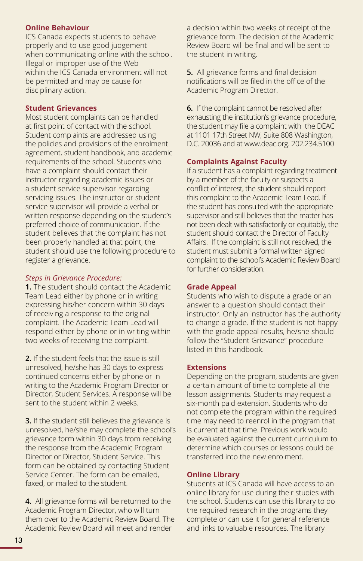### **Online Behaviour**

ICS Canada expects students to behave properly and to use good judgement when communicating online with the school. Illegal or improper use of the Web within the ICS Canada environment will not be permitted and may be cause for disciplinary action.

### **Student Grievances**

Most student complaints can be handled at first point of contact with the school. Student complaints are addressed using the policies and provisions of the enrolment agreement, student handbook, and academic requirements of the school. Students who have a complaint should contact their instructor regarding academic issues or a student service supervisor regarding servicing issues. The instructor or student service supervisor will provide a verbal or written response depending on the student's preferred choice of communication. If the student believes that the complaint has not been properly handled at that point, the student should use the following procedure to register a grievance.

### *Steps in Grievance Procedure:*

**1.** The student should contact the Academic Team Lead either by phone or in writing expressing his/her concern within 30 days of receiving a response to the original complaint. The Academic Team Lead will respond either by phone or in writing within two weeks of receiving the complaint.

**2.** If the student feels that the issue is still unresolved, he/she has 30 days to express continued concerns either by phone or in writing to the Academic Program Director or Director, Student Services. A response will be sent to the student within 2 weeks.

**3.** If the student still believes the grievance is unresolved, he/she may complete the school's grievance form within 30 days from receiving the response from the Academic Program Director or Director, Student Service. This form can be obtained by contacting Student Service Center. The form can be emailed, faxed, or mailed to the student.

**4.** All grievance forms will be returned to the Academic Program Director, who will turn them over to the Academic Review Board. The Academic Review Board will meet and render

a decision within two weeks of receipt of the grievance form. The decision of the Academic Review Board will be final and will be sent to the student in writing.

**5.** All grievance forms and final decision notifications will be filed in the office of the Academic Program Director.

**6.** If the complaint cannot be resolved after exhausting the institution's grievance procedure, the student may file a complaint with the DEAC at 1101 17th Street NW, Suite 808 Washington, D.C. 20036 and at www.deac.org. 202.234.5100

### **Complaints Against Faculty**

If a student has a complaint regarding treatment by a member of the faculty or suspects a conflict of interest, the student should report this complaint to the Academic Team Lead. If the student has consulted with the appropriate supervisor and still believes that the matter has not been dealt with satisfactorily or equitably, the student should contact the Director of Faculty Affairs. If the complaint is still not resolved, the student must submit a formal written signed complaint to the school's Academic Review Board for further consideration.

### **Grade Appeal**

Students who wish to dispute a grade or an answer to a question should contact their instructor. Only an instructor has the authority to change a grade. If the student is not happy with the grade appeal results, he/she should follow the "Student Grievance" procedure listed in this handbook.

### **Extensions**

Depending on the program, students are given a certain amount of time to complete all the lesson assignments. Students may request a six-month paid extension. Students who do not complete the program within the required time may need to reenrol in the program that is current at that time. Previous work would be evaluated against the current curriculum to determine which courses or lessons could be transferred into the new enrolment.

### **Online Library**

Students at ICS Canada will have access to an online library for use during their studies with the school. Students can use this library to do the required research in the programs they complete or can use it for general reference and links to valuable resources. The library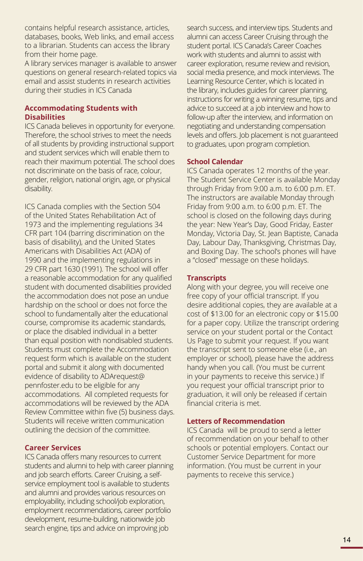contains helpful research assistance, articles, databases, books, Web links, and email access to a librarian. Students can access the library from their home page.

A library services manager is available to answer questions on general research-related topics via email and assist students in research activities during their studies in ICS Canada

### **Accommodating Students with Disabilities**

ICS Canada believes in opportunity for everyone. Therefore, the school strives to meet the needs of all students by providing instructional support and student services which will enable them to reach their maximum potential. The school does not discriminate on the basis of race, colour, gender, religion, national origin, age, or physical disability.

ICS Canada complies with the Section 504 of the United States Rehabilitation Act of 1973 and the implementing regulations 34 CFR part 104 (barring discrimination on the basis of disability), and the United States Americans with Disabilities Act (ADA) of 1990 and the implementing regulations in 29 CFR part 1630 (1991). The school will offer a reasonable accommodation for any qualified student with documented disabilities provided the accommodation does not pose an undue hardship on the school or does not force the school to fundamentally alter the educational course, compromise its academic standards, or place the disabled individual in a better than equal position with nondisabled students. Students must complete the Accommodation request form which is available on the student portal and submit it along with documented evidence of disability to ADArequest@ pennfoster.edu to be eligible for any accommodations. All completed requests for accommodations will be reviewed by the ADA Review Committee within five (5) business days. Students will receive written communication outlining the decision of the committee.

### **Career Services**

ICS Canada offers many resources to current students and alumni to help with career planning and job search efforts. Career Cruising, a selfservice employment tool is available to students and alumni and provides various resources on employability, including school/job exploration, employment recommendations, career portfolio development, resume-building, nationwide job search engine, tips and advice on improving job

search success, and interview tips. Students and alumni can access Career Cruising through the student portal. ICS Canada's Career Coaches work with students and alumni to assist with career exploration, resume review and revision, social media presence, and mock interviews. The Learning Resource Center, which is located in the library, includes guides for career planning, instructions for writing a winning resume, tips and advice to succeed at a job interview and how to follow-up after the interview, and information on negotiating and understanding compensation levels and offers. Job placement is not guaranteed to graduates, upon program completion.

### **School Calendar**

ICS Canada operates 12 months of the year. The Student Service Center is available Monday through Friday from 9:00 a.m. to 6:00 p.m. ET. The instructors are available Monday through Friday from 9:00 a.m. to 6:00 p.m. ET. The school is closed on the following days during the year: New Year's Day, Good Friday, Easter Monday, Victoria Day, St. Jean Baptiste, Canada Day, Labour Day, Thanksgiving, Christmas Day, and Boxing Day. The school's phones will have a "closed" message on these holidays.

### **Transcripts**

Along with your degree, you will receive one free copy of your official transcript. If you desire additional copies, they are available at a cost of \$13.00 for an electronic copy or \$15.00 for a paper copy. Utilize the transcript ordering service on your student portal or the Contact Us Page to submit your request. If you want the transcript sent to someone else (i.e., an employer or school), please have the address handy when you call. (You must be current in your payments to receive this service.) If you request your official transcript prior to graduation, it will only be released if certain financial criteria is met.

#### **Letters of Recommendation**

ICS Canada will be proud to send a letter of recommendation on your behalf to other schools or potential employers. Contact our Customer Service Department for more information. (You must be current in your payments to receive this service.)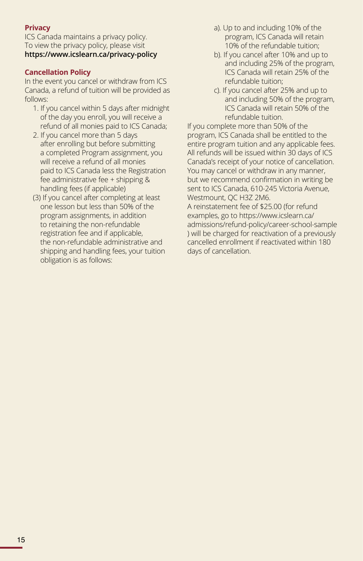### **Privacy**

ICS Canada maintains a privacy policy. To view the privacy policy, please visit **https://www.icslearn.ca/privacy-policy** 

### **Cancellation Policy**

In the event you cancel or withdraw from ICS Canada, a refund of tuition will be provided as follows:

- 1. If you cancel within 5 days after midnight of the day you enroll, you will receive a refund of all monies paid to ICS Canada;
- 2. If you cancel more than 5 days after enrolling but before submitting a completed Program assignment, you will receive a refund of all monies paid to ICS Canada less the Registration fee administrative fee + shipping & handling fees (if applicable)
- (3) If you cancel after completing at least one lesson but less than 50% of the program assignments, in addition to retaining the non-refundable registration fee and if applicable, the non-refundable administrative and shipping and handling fees, your tuition obligation is as follows:
- a). Up to and including 10% of the program, ICS Canada will retain 10% of the refundable tuition;
- b). If you cancel after 10% and up to and including 25% of the program, ICS Canada will retain 25% of the refundable tuition;
- c). If you cancel after 25% and up to and including 50% of the program, ICS Canada will retain 50% of the refundable tuition.

If you complete more than 50% of the program, ICS Canada shall be entitled to the entire program tuition and any applicable fees. All refunds will be issued within 30 days of ICS Canada's receipt of your notice of cancellation. You may cancel or withdraw in any manner, but we recommend confirmation in writing be sent to ICS Canada, 610-245 Victoria Avenue, Westmount, QC H3Z 2M6.

A reinstatement fee of \$25.00 (for refund examples, go to https://www.icslearn.ca/ admissions/refund-policy/career-school-sample ) will be charged for reactivation of a previously cancelled enrollment if reactivated within 180 days of cancellation.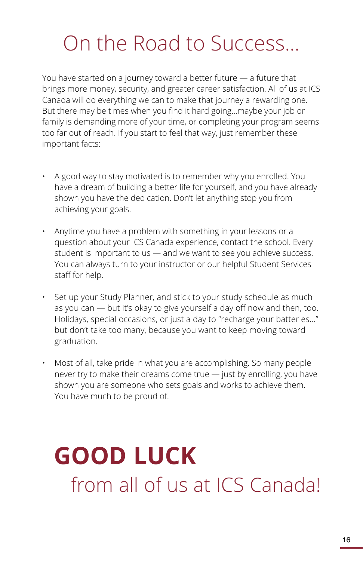# On the Road to Success...

You have started on a journey toward a better future — a future that brings more money, security, and greater career satisfaction. All of us at ICS Canada will do everything we can to make that journey a rewarding one. But there may be times when you find it hard going...maybe your job or family is demanding more of your time, or completing your program seems too far out of reach. If you start to feel that way, just remember these important facts:

- A good way to stay motivated is to remember why you enrolled. You have a dream of building a better life for yourself, and you have already shown you have the dedication. Don't let anything stop you from achieving your goals.
- Anytime you have a problem with something in your lessons or a question about your ICS Canada experience, contact the school. Every student is important to us — and we want to see you achieve success. You can always turn to your instructor or our helpful Student Services staff for help.
- Set up your Study Planner, and stick to your study schedule as much as you can — but it's okay to give yourself a day off now and then, too. Holidays, special occasions, or just a day to "recharge your batteries..." but don't take too many, because you want to keep moving toward graduation.
- Most of all, take pride in what you are accomplishing. So many people never try to make their dreams come true — just by enrolling, you have shown you are someone who sets goals and works to achieve them. You have much to be proud of.

# **GOOD LUCK** from all of us at ICS Canada!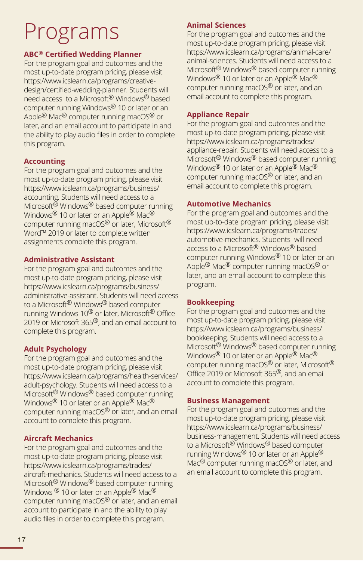# Programs

### **ABC® Certified Wedding Planner**

For the program goal and outcomes and the most up-to-date program pricing, please visit https://www.icslearn.ca/programs/creativedesign/certified-wedding-planner. Students will need access to a Microsoft® Windows® based computer running Windows® 10 or later or an Apple® Mac® computer running macOS® or later, and an email account to participate in and the ability to play audio files in order to complete this program.

### **Accounting**

For the program goal and outcomes and the most up-to-date program pricing, please visit https://www.icslearn.ca/programs/business/ accounting. Students will need access to a Microsoft<sup>®</sup> Windows<sup>®</sup> based computer running Windows<sup>®</sup> 10 or later or an Apple<sup>®</sup> Mac<sup>®</sup> computer running macOS® or later, Microsoft® Word™ 2019 or later to complete written assignments complete this program.

### **Administrative Assistant**

For the program goal and outcomes and the most up-to-date program pricing, please visit https://www.icslearn.ca/programs/business/ administrative-assistant. Students will need access to a Microsoft® Windows® based computer running Windows 10® or later, Microsoft® Office 2019 or Microsoft 365<sup>®</sup>, and an email account to complete this program.

### **Adult Psychology**

For the program goal and outcomes and the most up-to-date program pricing, please visit https://www.icslearn.ca/programs/health-services/ adult-psychology. Students will need access to a Microsoft® Windows® based computer running Windows<sup>®</sup> 10 or later or an Apple<sup>®</sup> Mac<sup>®</sup> computer running macOS® or later, and an email account to complete this program.

### **Aircraft Mechanics**

For the program goal and outcomes and the most up-to-date program pricing, please visit https://www.icslearn.ca/programs/trades/ aircraft-mechanics. Students will need access to a Microsoft<sup>®</sup> Windows<sup>®</sup> based computer running Windows <sup>®</sup> 10 or later or an Apple<sup>®</sup> Mac<sup>®</sup> computer running macOS® or later, and an email account to participate in and the ability to play audio files in order to complete this program.

### **Animal Sciences**

For the program goal and outcomes and the most up-to-date program pricing, please visit https://www.icslearn.ca/programs/animal-care/ animal-sciences. Students will need access to a Microsoft® Windows® based computer running Windows<sup>®</sup> 10 or later or an Apple<sup>®</sup> Mac<sup>®</sup> computer running macOS® or later, and an email account to complete this program.

### **Appliance Repair**

For the program goal and outcomes and the most up-to-date program pricing, please visit https://www.icslearn.ca/programs/trades/ appliance-repair. Students will need access to a Microsoft® Windows® based computer running Windows<sup>®</sup> 10 or later or an Apple<sup>®</sup> Mac<sup>®</sup> computer running macOS® or later, and an email account to complete this program.

### **Automotive Mechanics**

For the program goal and outcomes and the most up-to-date program pricing, please visit https://www.icslearn.ca/programs/trades/ automotive-mechanics. Students will need access to a Microsoft® Windows® based computer running Windows® 10 or later or an Apple® Mac® computer running macOS® or later, and an email account to complete this program.

### **Bookkeeping**

For the program goal and outcomes and the most up-to-date program pricing, please visit https://www.icslearn.ca/programs/business/ bookkeeping. Students will need access to a Microsoft® Windows® based computer running Windows<sup>®</sup> 10 or later or an Apple<sup>®</sup> Mac<sup>®</sup> computer running macOS® or later, Microsoft® Office 2019 or Microsoft 365®, and an email account to complete this program.

### **Business Management**

For the program goal and outcomes and the most up-to-date program pricing, please visit https://www.icslearn.ca/programs/business/ business-management. Students will need access to a Microsoft® Windows® based computer running Windows® 10 or later or an Apple® Mac<sup>®</sup> computer running macOS<sup>®</sup> or later, and an email account to complete this program.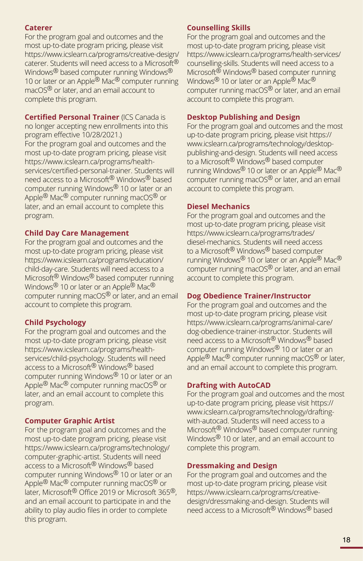### **Caterer**

For the program goal and outcomes and the most up-to-date program pricing, please visit https://www.icslearn.ca/programs/creative-design/ caterer. Students will need access to a Microsoft® Windows<sup>®</sup> based computer running Windows<sup>®</sup> 10 or later or an Apple<sup>®</sup> Mac<sup>®</sup> computer running macOS® or later, and an email account to complete this program.

### **Certified Personal Trainer** (ICS Canada is

no longer accepting new enrollments into this program effective 10/28/2021.) For the program goal and outcomes and the most up-to-date program pricing, please visit https://www.icslearn.ca/programs/healthservices/certified-personal-trainer. Students will need access to a Microsoft® Windows® based computer running Windows® 10 or later or an Apple® Mac® computer running macOS® or later, and an email account to complete this program.

### **Child Day Care Management**

For the program goal and outcomes and the most up-to-date program pricing, please visit https://www.icslearn.ca/programs/education/ child-day-care. Students will need access to a Microsoft® Windows® based computer running Windows<sup>®</sup> 10 or later or an Apple<sup>®</sup> Mac<sup>®</sup> computer running macOS® or later, and an email account to complete this program.

### **Child Psychology**

For the program goal and outcomes and the most up-to-date program pricing, please visit https://www.icslearn.ca/programs/healthservices/child-psychology. Students will need access to a Microsoft® Windows® based computer running Windows® 10 or later or an Apple® Mac® computer running macOS® or later, and an email account to complete this program.

### **Computer Graphic Artist**

For the program goal and outcomes and the most up-to-date program pricing, please visit https://www.icslearn.ca/programs/technology/ computer-graphic-artist. Students will need access to a Microsoft® Windows® based computer running Windows® 10 or later or an Apple® Mac® computer running macOS® or later, Microsoft® Office 2019 or Microsoft 365®, and an email account to participate in and the ability to play audio files in order to complete this program.

### **Counselling Skills**

For the program goal and outcomes and the most up-to-date program pricing, please visit https://www.icslearn.ca/programs/health-services/ counselling-skills. Students will need access to a Microsoft<sup>®</sup> Windows<sup>®</sup> based computer running Windows® 10 or later or an Apple® Mac® computer running macOS® or later, and an email account to complete this program.

### **Desktop Publishing and Design**

For the program goal and outcomes and the most up-to-date program pricing, please visit https:// www.icslearn.ca/programs/technology/desktoppublishing-and-design. Students will need access to a Microsoft® Windows® based computer running Windows® 10 or later or an Apple® Mac® computer running macOS® or later, and an email account to complete this program.

### **Diesel Mechanics**

For the program goal and outcomes and the most up-to-date program pricing, please visit https://www.icslearn.ca/programs/trades/ diesel-mechanics. Students will need access to a Microsoft® Windows® based computer running Windows® 10 or later or an Apple® Mac® computer running macOS® or later, and an email account to complete this program.

### **Dog Obedience Trainer/Instructor**

For the program goal and outcomes and the most up-to-date program pricing, please visit https://www.icslearn.ca/programs/animal-care/ dog-obedience-trainer-instructor. Students will need access to a Microsoft® Windows® based computer running Windows® 10 or later or an Apple<sup>®</sup> Mac<sup>®</sup> computer running macOS<sup>®</sup> or later, and an email account to complete this program.

### **Drafting with AutoCAD**

For the program goal and outcomes and the most up-to-date program pricing, please visit https:// www.icslearn.ca/programs/technology/draftingwith-autocad. Students will need access to a Microsoft® Windows® based computer running Windows<sup>®</sup> 10 or later, and an email account to complete this program.

### **Dressmaking and Design**

For the program goal and outcomes and the most up-to-date program pricing, please visit https://www.icslearn.ca/programs/creativedesign/dressmaking-and-design. Students will need access to a Microsoft® Windows® based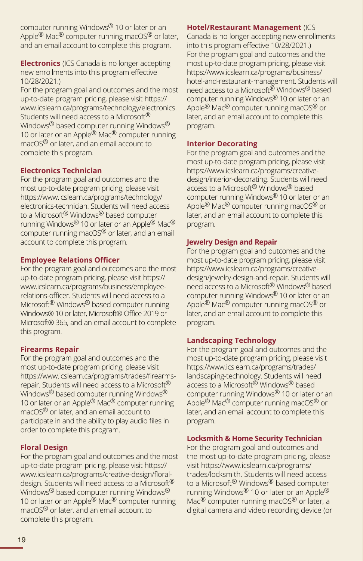computer running Windows® 10 or later or an Apple<sup>®</sup> Mac<sup>®</sup> computer running macOS<sup>®</sup> or later, and an email account to complete this program.

**Electronics** (ICS Canada is no longer accepting new enrollments into this program effective 10/28/2021.)

For the program goal and outcomes and the most up-to-date program pricing, please visit https:// www.icslearn.ca/programs/technology/electronics. Students will need access to a Microsoft<sup>®</sup> Windows<sup>®</sup> based computer running Windows<sup>®</sup> 10 or later or an Apple® Mac® computer running macOS® or later, and an email account to complete this program.

### **Electronics Technician**

For the program goal and outcomes and the most up-to-date program pricing, please visit https://www.icslearn.ca/programs/technology/ electronics-technician. Students will need access to a Microsoft® Windows® based computer running Windows® 10 or later or an Apple® Mac® computer running macOS® or later, and an email account to complete this program.

### **Employee Relations Officer**

For the program goal and outcomes and the most up-to-date program pricing, please visit https:// www.icslearn.ca/programs/business/employeerelations-officer. Students will need access to a Microsoft® Windows® based computer running Windows® 10 or later, Microsoft® Office 2019 or Microsoft® 365, and an email account to complete this program.

### **Firearms Repair**

For the program goal and outcomes and the most up-to-date program pricing, please visit https://www.icslearn.ca/programs/trades/firearmsrepair. Students will need access to a Microsoft® Windows® based computer running Windows® 10 or later or an Apple® Mac® computer running macOS® or later, and an email account to participate in and the ability to play audio files in order to complete this program.

### **Floral Design**

For the program goal and outcomes and the most up-to-date program pricing, please visit https:// www.icslearn.ca/programs/creative-design/floraldesign. Students will need access to a Microsoft<sup>®</sup> Windows<sup>®</sup> based computer running Windows<sup>®</sup> 10 or later or an Apple<sup>®</sup> Mac<sup>®</sup> computer running macOS® or later, and an email account to complete this program.

### **Hotel/Restaurant Management** (ICS

Canada is no longer accepting new enrollments into this program effective 10/28/2021.) For the program goal and outcomes and the most up-to-date program pricing, please visit https://www.icslearn.ca/programs/business/ hotel-and-restaurant-management. Students will need access to a Microsoft® Windows® based computer running Windows® 10 or later or an Apple<sup>®</sup> Mac<sup>®</sup> computer running macOS<sup>®</sup> or later, and an email account to complete this program.

### **Interior Decorating**

For the program goal and outcomes and the most up-to-date program pricing, please visit https://www.icslearn.ca/programs/creativedesign/interior-decorating. Students will need access to a Microsoft® Windows® based computer running Windows® 10 or later or an Apple<sup>®</sup> Mac<sup>®</sup> computer running macOS<sup>®</sup> or later, and an email account to complete this program.

### **Jewelry Design and Repair**

For the program goal and outcomes and the most up-to-date program pricing, please visit https://www.icslearn.ca/programs/creativedesign/jewelry-design-and-repair. Students will need access to a Microsoft® Windows® based computer running Windows® 10 or later or an Apple<sup>®</sup> Mac<sup>®</sup> computer running macOS<sup>®</sup> or later, and an email account to complete this program.

### **Landscaping Technology**

For the program goal and outcomes and the most up-to-date program pricing, please visit https://www.icslearn.ca/programs/trades/ landscaping-technology. Students will need access to a Microsoft® Windows® based computer running Windows® 10 or later or an Apple<sup>®</sup> Mac<sup>®</sup> computer running macOS<sup>®</sup> or later, and an email account to complete this program.

### **Locksmith & Home Security Technician**

For the program goal and outcomes and the most up-to-date program pricing, please visit https://www.icslearn.ca/programs/ trades/locksmith. Students will need access to a Microsoft® Windows® based computer running Windows® 10 or later or an Apple® Mac<sup>®</sup> computer running macOS<sup>®</sup> or later, a digital camera and video recording device (or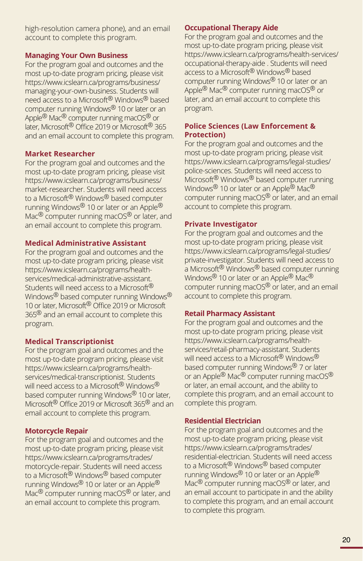high-resolution camera phone), and an email account to complete this program.

### **Managing Your Own Business**

For the program goal and outcomes and the most up-to-date program pricing, please visit https://www.icslearn.ca/programs/business/ managing-your-own-business. Students will need access to a Microsoft<sup>®</sup> Windows<sup>®</sup> based computer running Windows® 10 or later or an Apple<sup>®</sup> Mac<sup>®</sup> computer running macOS<sup>®</sup> or later, Microsoft<sup>®</sup> Office 2019 or Microsoft<sup>®</sup> 365 and an email account to complete this program.

### **Market Researcher**

For the program goal and outcomes and the most up-to-date program pricing, please visit https://www.icslearn.ca/programs/business/ market-researcher. Students will need access to a Microsoft® Windows® based computer running Windows<sup>®</sup> 10 or later or an Apple<sup>®</sup> Mac<sup>®</sup> computer running macOS<sup>®</sup> or later, and an email account to complete this program.

### **Medical Administrative Assistant**

For the program goal and outcomes and the most up-to-date program pricing, please visit https://www.icslearn.ca/programs/healthservices/medical-administrative-assistant. Students will need access to a Microsoft<sup>®</sup> Windows<sup>®</sup> based computer running Windows® 10 or later, Microsoft<sup>®</sup> Office 2019 or Microsoft 365<sup>®</sup> and an email account to complete this program.

### **Medical Transcriptionist**

For the program goal and outcomes and the most up-to-date program pricing, please visit https://www.icslearn.ca/programs/healthservices/medical-transcriptionist. Students will need access to a Microsoft<sup>®</sup> Windows® based computer running Windows<sup>®</sup> 10 or later, Microsoft® Office 2019 or Microsoft 365® and an email account to complete this program.

### **Motorcycle Repair**

For the program goal and outcomes and the most up-to-date program pricing, please visit https://www.icslearn.ca/programs/trades/ motorcycle-repair. Students will need access to a Microsoft® Windows® based computer running Windows<sup>®</sup> 10 or later or an Apple<sup>®</sup> Mac<sup>®</sup> computer running macOS<sup>®</sup> or later, and an email account to complete this program.

### **Occupational Therapy Aide**

For the program goal and outcomes and the most up-to-date program pricing, please visit https://www.icslearn.ca/programs/health-services/ occupational-therapy-aide . Students will need access to a Microsoft® Windows® based computer running Windows® 10 or later or an Apple<sup>®</sup> Mac<sup>®</sup> computer running macOS<sup>®</sup> or later, and an email account to complete this program.

### **Police Sciences (Law Enforcement & Protection)**

For the program goal and outcomes and the most up-to-date program pricing, please visit https://www.icslearn.ca/programs/legal-studies/ police-sciences. Students will need access to Microsoft® Windows® based computer running Windows<sup>®</sup> 10 or later or an Apple<sup>®</sup> Mac<sup>®</sup> computer running macOS® or later, and an email account to complete this program.

### **Private Investigator**

For the program goal and outcomes and the most up-to-date program pricing, please visit https://www.icslearn.ca/programs/legal-studies/ private-investigator. Students will need access to a Microsoft® Windows® based computer running Windows<sup>®</sup> 10 or later or an Apple<sup>®</sup> Mac<sup>®</sup> computer running macOS® or later, and an email account to complete this program.

### **Retail Pharmacy Assistant**

For the program goal and outcomes and the most up-to-date program pricing, please visit https://www.icslearn.ca/programs/healthservices/retail-pharmacy-assistant. Students will need access to a Microsoft<sup>®</sup> Windows<sup>®</sup> based computer running Windows® 7 or later or an Apple® Mac® computer running macOS® or later, an email account, and the ability to complete this program, and an email account to complete this program.

### **Residential Electrician**

For the program goal and outcomes and the most up-to-date program pricing, please visit https://www.icslearn.ca/programs/trades/ residential-electrician. Students will need access to a Microsoft® Windows® based computer running Windows<sup>®</sup> 10 or later or an Apple<sup>®</sup> Mac<sup>®</sup> computer running macOS<sup>®</sup> or later, and an email account to participate in and the ability to complete this program, and an email account to complete this program.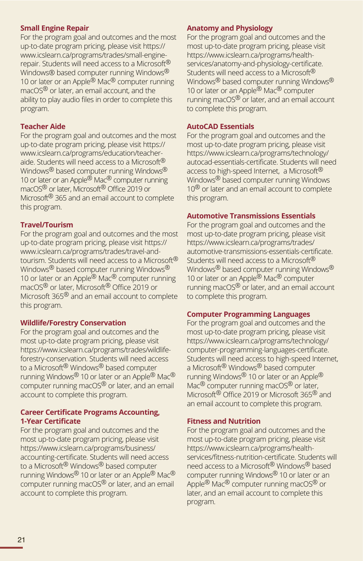### **Small Engine Repair**

For the program goal and outcomes and the most up-to-date program pricing, please visit https:// www.icslearn.ca/programs/trades/small-enginerepair. Students will need access to a Microsoft<sup>®</sup> Windows® based computer running Windows<sup>®</sup> 10 or later or an Apple® Mac® computer running macOS® or later, an email account, and the ability to play audio files in order to complete this program.

### **Teacher Aide**

For the program goal and outcomes and the most up-to-date program pricing, please visit https:// www.icslearn.ca/programs/education/teacheraide. Students will need access to a Microsoft<sup>®</sup> Windows<sup>®</sup> based computer running Windows<sup>®</sup> 10 or later or an Apple<sup>®</sup> Mac<sup>®</sup> computer running macOS<sup>®</sup> or later, Microsoft<sup>®</sup> Office 2019 or Microsoft<sup>®</sup> 365 and an email account to complete this program.

### **Travel/Tourism**

For the program goal and outcomes and the most up-to-date program pricing, please visit https:// www.icslearn.ca/programs/trades/travel-andtourism. Students will need access to a Microsoft<sup>®</sup> Windows<sup>®</sup> based computer running Windows<sup>®</sup> 10 or later or an Apple<sup>®</sup> Mac<sup>®</sup> computer running macOS® or later, Microsoft® Office 2019 or Microsoft 365<sup>®</sup> and an email account to complete this program.

### **Wildlife/Forestry Conservation**

For the program goal and outcomes and the most up-to-date program pricing, please visit https://www.icslearn.ca/programs/trades/wildlifeforestry-conservation. Students will need access to a Microsoft® Windows® based computer running Windows<sup>®</sup> 10 or later or an Apple<sup>®</sup> Mac<sup>®</sup> computer running macOS® or later, and an email account to complete this program.

### **Career Certificate Programs Accounting, 1-Year Certificate**

For the program goal and outcomes and the most up-to-date program pricing, please visit https://www.icslearn.ca/programs/business/ accounting-certificate. Students will need access to a Microsoft® Windows® based computer running Windows<sup>®</sup> 10 or later or an Apple<sup>®</sup> Mac<sup>®</sup> computer running macOS® or later, and an email account to complete this program.

### **Anatomy and Physiology**

For the program goal and outcomes and the most up-to-date program pricing, please visit https://www.icslearn.ca/programs/healthservices/anatomy-and-physiology-certificate. Students will need access to a Microsoft<sup>®</sup> Windows<sup>®</sup> based computer running Windows<sup>®</sup> 10 or later or an Apple® Mac® computer running macOS® or later, and an email account to complete this program.

### **AutoCAD Essentials**

For the program goal and outcomes and the most up-to-date program pricing, please visit https://www.icslearn.ca/programs/technology/ autocad-essentials-certificate. Students will need access to high-speed Internet, a Microsoft<sup>®</sup> Windows® based computer running Windows  $10<sup>®</sup>$  or later and an email account to complete this program.

### **Automotive Transmissions Essentials**

For the program goal and outcomes and the most up-to-date program pricing, please visit https://www.icslearn.ca/programs/trades/ automotive-transmissions-essentials-certificate. Students will need access to a Microsoft<sup>®</sup> Windows<sup>®</sup> based computer running Windows<sup>®</sup> 10 or later or an Apple® Mac® computer running macOS® or later, and an email account to complete this program.

### **Computer Programming Languages**

For the program goal and outcomes and the most up-to-date program pricing, please visit https://www.icslearn.ca/programs/technology/ computer-programming-languages-certificate. Students will need access to high-speed Internet, a Microsoft® Windows® based computer running Windows<sup>®</sup> 10 or later or an Apple<sup>®</sup> Mac<sup>®</sup> computer running macOS<sup>®</sup> or later, Microsoft<sup>®</sup> Office 2019 or Microsoft 365<sup>®</sup> and an email account to complete this program.

### **Fitness and Nutrition**

For the program goal and outcomes and the most up-to-date program pricing, please visit https://www.icslearn.ca/programs/healthservices/fitness-nutrition-certificate. Students will need access to a Microsoft® Windows® based computer running Windows® 10 or later or an Apple<sup>®</sup> Mac<sup>®</sup> computer running macOS<sup>®</sup> or later, and an email account to complete this program.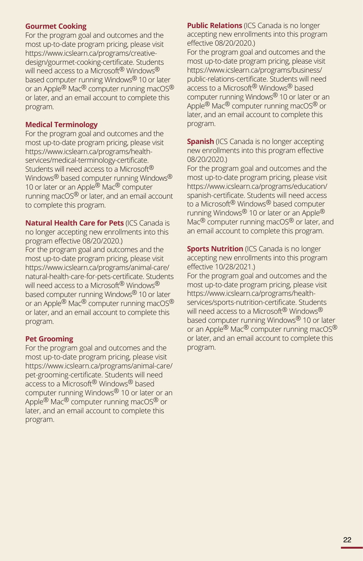### **Gourmet Cooking**

For the program goal and outcomes and the most up-to-date program pricing, please visit https://www.icslearn.ca/programs/creativedesign/gourmet-cooking-certificate. Students will need access to a Microsoft<sup>®</sup> Windows<sup>®</sup> based computer running Windows® 10 or later or an Apple® Mac® computer running macOS® or later, and an email account to complete this program.

### **Medical Terminology**

For the program goal and outcomes and the most up-to-date program pricing, please visit https://www.icslearn.ca/programs/healthservices/medical-terminology-certificate. Students will need access to a Microsoft® Windows® based computer running Windows® 10 or later or an Apple® Mac® computer running macOS® or later, and an email account to complete this program.

**Natural Health Care for Pets** (ICS Canada is no longer accepting new enrollments into this program effective 08/20/2020.)

For the program goal and outcomes and the most up-to-date program pricing, please visit https://www.icslearn.ca/programs/animal-care/ natural-health-care-for-pets-certificate. Students will need access to a Microsoft<sup>®</sup> Windows<sup>®</sup> based computer running Windows® 10 or later or an Apple<sup>®</sup> Mac<sup>®</sup> computer running macOS<sup>®</sup> or later, and an email account to complete this program.

### **Pet Grooming**

For the program goal and outcomes and the most up-to-date program pricing, please visit https://www.icslearn.ca/programs/animal-care/ pet-grooming-certificate. Students will need access to a Microsoft® Windows® based computer running Windows® 10 or later or an Apple<sup>®</sup> Mac<sup>®</sup> computer running macOS<sup>®</sup> or later, and an email account to complete this program.

**Public Relations** (ICS Canada is no longer accepting new enrollments into this program effective 08/20/2020.)

For the program goal and outcomes and the most up-to-date program pricing, please visit https://www.icslearn.ca/programs/business/ public-relations-certificate. Students will need access to a Microsoft<sup>®</sup> Windows<sup>®</sup> based computer running Windows® 10 or later or an Apple<sup>®</sup> Mac<sup>®</sup> computer running macOS<sup>®</sup> or later, and an email account to complete this program.

**Spanish** (ICS Canada is no longer accepting new enrollments into this program effective 08/20/2020.)

For the program goal and outcomes and the most up-to-date program pricing, please visit https://www.icslearn.ca/programs/education/ spanish-certificate. Students will need access to a Microsoft<sup>®</sup> Windows<sup>®</sup> based computer running Windows® 10 or later or an Apple® Mac<sup>®</sup> computer running macOS<sup>®</sup> or later, and an email account to complete this program.

**Sports Nutrition** (ICS Canada is no longer accepting new enrollments into this program effective 10/28/2021.)

For the program goal and outcomes and the most up-to-date program pricing, please visit https://www.icslearn.ca/programs/healthservices/sports-nutrition-certificate. Students will need access to a Microsoft® Windows® based computer running Windows® 10 or later or an Apple<sup>®</sup> Mac<sup>®</sup> computer running macOS<sup>®</sup> or later, and an email account to complete this program.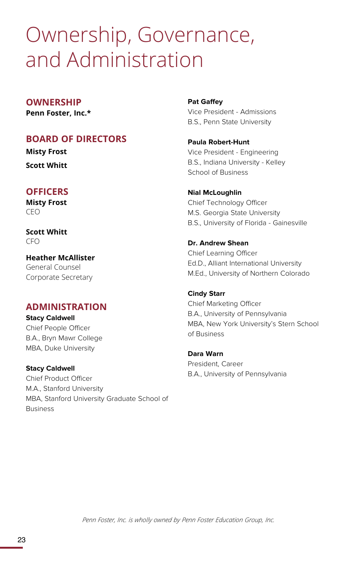# Ownership, Governance, and Administration

### **OWNERSHIP**

**Penn Foster, Inc.\***

### **BOARD OF DIRECTORS**

**Misty Frost**

**Scott Whitt**

### **OFFICERS**

**Misty Frost** CEO

**Scott Whitt** CFO

**Heather McAllister** General Counsel Corporate Secretary

### **ADMINISTRATION**

**Stacy Caldwell** Chief People Officer B.A., Bryn Mawr College MBA, Duke University

**Stacy Caldwell** Chief Product Officer M.A., Stanford University MBA, Stanford University Graduate School of Business

**Pat Gaffey**

Vice President - Admissions B.S., Penn State University

**Paula Robert-Hunt** Vice President - Engineering B.S., Indiana University - Kelley School of Business

**Nial McLoughlin** Chief Technology Officer M.S. Georgia State University B.S., University of Florida - Gainesville

**Dr. Andrew Shean** Chief Learning Officer Ed.D., Alliant International University M.Ed., University of Northern Colorado

**Cindy Starr** Chief Marketing Officer B.A., University of Pennsylvania MBA, New York University's Stern School of Business

**Dara Warn** President, Career B.A., University of Pennsylvania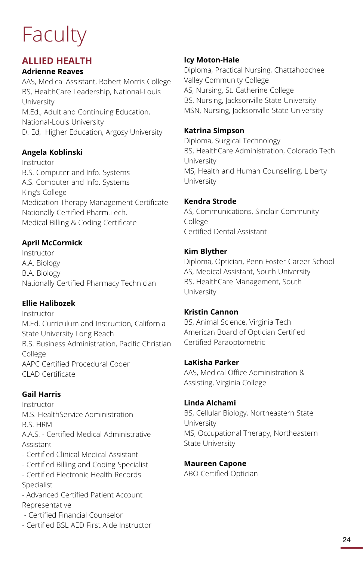# **Faculty**

### **ALLIED HEALTH**

### **Adrienne Reaves**

AAS, Medical Assistant, Robert Morris College BS, HealthCare Leadership, National-Louis University M.Ed., Adult and Continuing Education, National-Louis University D. Ed, Higher Education, Argosy University

### **Angela Koblinski**

Instructor B.S. Computer and Info. Systems A.S. Computer and Info. Systems King's College Medication Therapy Management Certificate Nationally Certified Pharm.Tech. Medical Billing & Coding Certificate

### **April McCormick**

Instructor A.A. Biology B.A. Biology Nationally Certified Pharmacy Technician

### **Ellie Halibozek**

Instructor M.Ed. Curriculum and Instruction, California State University Long Beach B.S. Business Administration, Pacific Christian College AAPC Certified Procedural Coder CLAD Certificate

### **Gail Harris**

Instructor M.S. HealthService Administration B.S. HRM A.A.S. - Certified Medical Administrative Assistant - Certified Clinical Medical Assistant - Certified Billing and Coding Specialist - Certified Electronic Health Records Specialist - Advanced Certified Patient Account Representative

- Certified Financial Counselor
- Certified BSL AED First Aide Instructor

### **Icy Moton-Hale**

Diploma, Practical Nursing, Chattahoochee Valley Community College AS, Nursing, St. Catherine College BS, Nursing, Jacksonville State University MSN, Nursing, Jacksonville State University

### **Katrina Simpson**

Diploma, Surgical Technology BS, HealthCare Administration, Colorado Tech University MS, Health and Human Counselling, Liberty University

### **Kendra Strode**

AS, Communications, Sinclair Community College Certified Dental Assistant

### **Kim Blyther**

Diploma, Optician, Penn Foster Career School AS, Medical Assistant, South University BS, HealthCare Management, South University

### **Kristin Cannon**

BS, Animal Science, Virginia Tech American Board of Optician Certified Certified Paraoptometric

### **LaKisha Parker**

AAS, Medical Office Administration & Assisting, Virginia College

### **Linda Alchami**

BS, Cellular Biology, Northeastern State University MS, Occupational Therapy, Northeastern State University

### **Maureen Capone**  ABO Certified Optician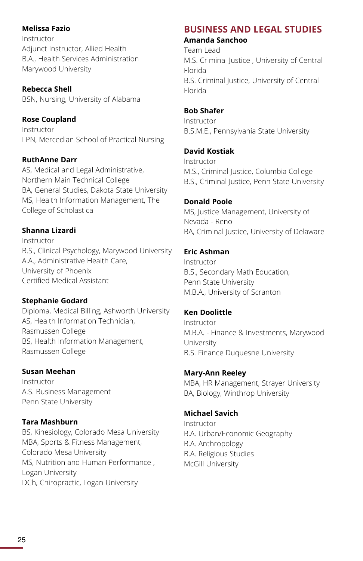### **Melissa Fazio**

Instructor Adjunct Instructor, Allied Health B.A., Health Services Administration Marywood University

**Rebecca Shell**  BSN, Nursing, University of Alabama

### **Rose Coupland**

Instructor LPN, Mercedian School of Practical Nursing

### **RuthAnne Darr**

AS, Medical and Legal Administrative, Northern Main Technical College BA, General Studies, Dakota State University MS, Health Information Management, The College of Scholastica

### **Shanna Lizardi**

Instructor B.S., Clinical Psychology, Marywood University A.A., Administrative Health Care, University of Phoenix Certified Medical Assistant

### **Stephanie Godard**

Diploma, Medical Billing, Ashworth University AS, Health Information Technician, Rasmussen College BS, Health Information Management, Rasmussen College

### **Susan Meehan**

Instructor A.S. Business Management Penn State University

### **Tara Mashburn**

BS, Kinesiology, Colorado Mesa University MBA, Sports & Fitness Management, Colorado Mesa University MS, Nutrition and Human Performance , Logan University DCh, Chiropractic, Logan University

# **BUSINESS AND LEGAL STUDIES**

### **Amanda Sanchoo**

Team Lead M.S. Criminal Justice , University of Central Florida B.S. Criminal Justice, University of Central Florida

### **Bob Shafer**

Instructor B.S.M.E., Pennsylvania State University

### **David Kostiak**

Instructor M.S., Criminal Justice, Columbia College B.S., Criminal Justice, Penn State University

### **Donald Poole**

MS, Justice Management, University of Nevada - Reno BA, Criminal Justice, University of Delaware

### **Eric Ashman**

Instructor B.S., Secondary Math Education, Penn State University M.B.A., University of Scranton

### **Ken Doolittle**

Instructor M.B.A. - Finance & Investments, Marywood University B.S. Finance Duquesne University

### **Mary-Ann Reeley**  MBA, HR Management, Strayer University

BA, Biology, Winthrop University

### **Michael Savich**

Instructor B.A. Urban/Economic Geography B.A. Anthropology B.A. Religious Studies McGill University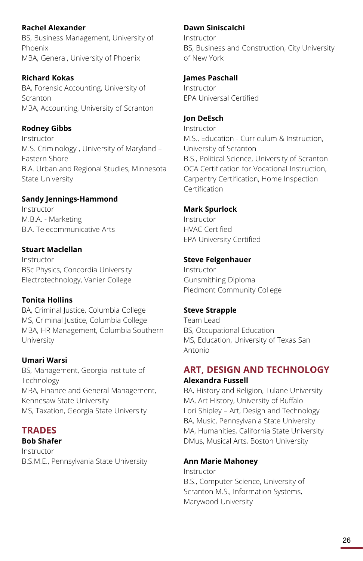### **Rachel Alexander**

BS, Business Management, University of Phoenix MBA, General, University of Phoenix

### **Richard Kokas**

BA, Forensic Accounting, University of Scranton MBA, Accounting, University of Scranton

### **Rodney Gibbs**

Instructor M.S. Criminology , University of Maryland – Eastern Shore B.A. Urban and Regional Studies, Minnesota State University

### **Sandy Jennings-Hammond**

Instructor M.B.A. - Marketing B.A. Telecommunicative Arts

### **Stuart Maclellan**

Instructor BSc Physics, Concordia University Electrotechnology, Vanier College

### **Tonita Hollins**

BA, Criminal Justice, Columbia College MS, Criminal Justice, Columbia College MBA, HR Management, Columbia Southern University

### **Umari Warsi**

BS, Management, Georgia Institute of **Technology** MBA, Finance and General Management, Kennesaw State University MS, Taxation, Georgia State University

### **TRADES**

### **Bob Shafer**

Instructor B.S.M.E., Pennsylvania State University

### **Dawn Siniscalchi**

Instructor BS, Business and Construction, City University of New York

### **James Paschall**

Instructor EPA Universal Certified

### **Jon DeEsch**

Instructor M.S., Education - Curriculum & Instruction, University of Scranton B.S., Political Science, University of Scranton OCA Certification for Vocational Instruction, Carpentry Certification, Home Inspection Certification

### **Mark Spurlock**

Instructor HVAC Certified EPA University Certified

### **Steve Felgenhauer**

Instructor Gunsmithing Diploma Piedmont Community College

### **Steve Strapple**

Team Lead BS, Occupational Education MS, Education, University of Texas San Antonio

### **ART, DESIGN AND TECHNOLOGY Alexandra Fussell**

BA, History and Religion, Tulane University MA, Art History, University of Buffalo Lori Shipley – Art, Design and Technology BA, Music, Pennsylvania State University MA, Humanities, California State University DMus, Musical Arts, Boston University

### **Ann Marie Mahoney**

Instructor B.S., Computer Science, University of Scranton M.S., Information Systems, Marywood University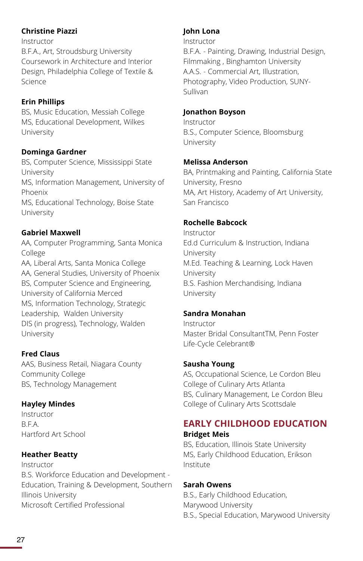### **Christine Piazzi**

Instructor B.F.A., Art, Stroudsburg University Coursework in Architecture and Interior Design, Philadelphia College of Textile & Science

### **Erin Phillips**

BS, Music Education, Messiah College MS, Educational Development, Wilkes University

### **Dominga Gardner**

BS, Computer Science, Mississippi State University MS, Information Management, University of Phoenix MS, Educational Technology, Boise State University

### **Gabriel Maxwell**

AA, Computer Programming, Santa Monica College

AA, Liberal Arts, Santa Monica College AA, General Studies, University of Phoenix BS, Computer Science and Engineering, University of California Merced MS, Information Technology, Strategic Leadership, Walden University DIS (in progress), Technology, Walden University

### **Fred Claus**

AAS, Business Retail, Niagara County Community College BS, Technology Management

### **Hayley Mindes**

Instructor B.F.A. Hartford Art School

### **Heather Beatty**

Instructor B.S. Workforce Education and Development - Education, Training & Development, Southern Illinois University Microsoft Certified Professional

### **John Lona**

#### Instructor

B.F.A. - Painting, Drawing, Industrial Design, Filmmaking , Binghamton University A.A.S. - Commercial Art, Illustration, Photography, Video Production, SUNY-Sullivan

### **Jonathon Boyson**

Instructor B.S., Computer Science, Bloomsburg University

### **Melissa Anderson**

BA, Printmaking and Painting, California State University, Fresno MA, Art History, Academy of Art University, San Francisco

### **Rochelle Babcock**

Instructor Ed.d Curriculum & Instruction, Indiana University M.Ed. Teaching & Learning, Lock Haven University B.S. Fashion Merchandising, Indiana University

### **Sandra Monahan**

Instructor Master Bridal ConsultantTM, Penn Foster Life-Cycle Celebrant®

### **Sausha Young**

AS, Occupational Science, Le Cordon Bleu College of Culinary Arts Atlanta BS, Culinary Management, Le Cordon Bleu College of Culinary Arts Scottsdale

## **EARLY CHILDHOOD EDUCATION**

### **Bridget Meis**

BS, Education, Illinois State University MS, Early Childhood Education, Erikson Institute

### **Sarah Owens**

B.S., Early Childhood Education, Marywood University B.S., Special Education, Marywood University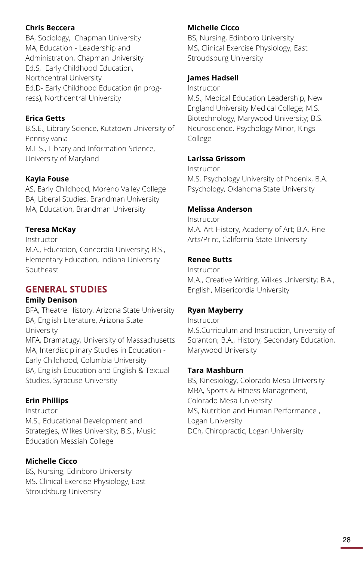### **Chris Beccera**

BA, Sociology, Chapman University MA, Education - Leadership and Administration, Chapman University Ed.S, Early Childhood Education, Northcentral University Ed.D- Early Childhood Education (in progress), Northcentral University

### **Erica Getts**

B.S.E., Library Science, Kutztown University of Pennsylvania M.L.S., Library and Information Science, University of Maryland

### **Kayla Fouse**

AS, Early Childhood, Moreno Valley College BA, Liberal Studies, Brandman University MA, Education, Brandman University

### **Teresa McKay**

Instructor M.A., Education, Concordia University; B.S., Elementary Education, Indiana University Southeast

### **GENERAL STUDIES**

### **Emily Denison**

BFA, Theatre History, Arizona State University BA, English Literature, Arizona State University MFA, Dramatugy, University of Massachusetts MA, Interdisciplinary Studies in Education - Early Childhood, Columbia University BA, English Education and English & Textual Studies, Syracuse University

### **Erin Phillips**

Instructor M.S., Educational Development and Strategies, Wilkes University; B.S., Music Education Messiah College

### **Michelle Cicco**

BS, Nursing, Edinboro University MS, Clinical Exercise Physiology, East Stroudsburg University

### **Michelle Cicco**

BS, Nursing, Edinboro University MS, Clinical Exercise Physiology, East Stroudsburg University

### **James Hadsell**

Instructor

M.S., Medical Education Leadership, New England University Medical College; M.S. Biotechnology, Marywood University; B.S. Neuroscience, Psychology Minor, Kings College

### **Larissa Grissom**

Instructor M.S. Psychology University of Phoenix, B.A. Psychology, Oklahoma State University

### **Melissa Anderson**

Instructor M.A. Art History, Academy of Art; B.A. Fine Arts/Print, California State University

### **Renee Butts**

Instructor M.A., Creative Writing, Wilkes University; B.A., English, Misericordia University

### **Ryan Mayberry**

Instructor M.S.Curriculum and Instruction, University of Scranton; B.A., History, Secondary Education, Marywood University

### **Tara Mashburn**

BS, Kinesiology, Colorado Mesa University MBA, Sports & Fitness Management, Colorado Mesa University MS, Nutrition and Human Performance , Logan University DCh, Chiropractic, Logan University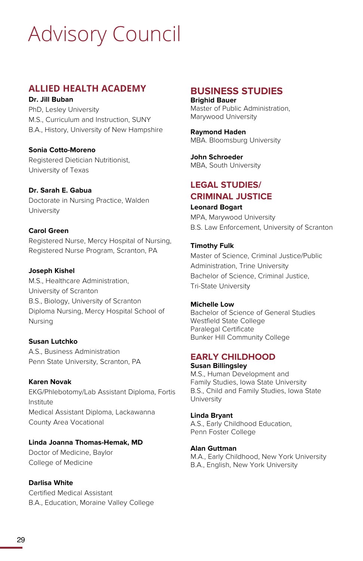# Advisory Council

### **ALLIED HEALTH ACADEMY**

### **Dr. Jill Buban**

PhD, Lesley University M.S., Curriculum and Instruction, SUNY B.A., History, University of New Hampshire

### **Sonia Cotto-Moreno**

Registered Dietician Nutritionist, University of Texas

### **Dr. Sarah E. Gabua**

Doctorate in Nursing Practice, Walden University

### **Carol Green**

Registered Nurse, Mercy Hospital of Nursing, Registered Nurse Program, Scranton, PA

### **Joseph Kishel**

M.S., Healthcare Administration, University of Scranton B.S., Biology, University of Scranton Diploma Nursing, Mercy Hospital School of Nursing

### **Susan Lutchko**

A.S., Business Administration Penn State University, Scranton, PA

### **Karen Novak**

EKG/Phlebotomy/Lab Assistant Diploma, Fortis Institute Medical Assistant Diploma, Lackawanna County Area Vocational

### **Linda Joanna Thomas-Hemak, MD**

Doctor of Medicine, Baylor College of Medicine

### **Darlisa White**

Certified Medical Assistant B.A., Education, Moraine Valley College

### **BUSINESS STUDIES Brighid Bauer**

Master of Public Administration, Marywood University

**Raymond Haden** MBA. Bloomsburg University

**John Schroeder** MBA, South University

### **LEGAL STUDIES/ CRIMINAL JUSTICE**

**Leonard Bogart** MPA, Marywood University B.S. Law Enforcement, University of Scranton

### **Timothy Fulk**

Master of Science, Criminal Justice/Public Administration, Trine University Bachelor of Science, Criminal Justice, Tri-State University

### **Michelle Low**

Bachelor of Science of General Studies Westfield State College Paralegal Certificate Bunker Hill Community College

### **EARLY CHILDHOOD**

**Susan Billingsley** M.S., Human Development and Family Studies, Iowa State University B.S., Child and Family Studies, Iowa State University

**Linda Bryant** A.S., Early Childhood Education, Penn Foster College

### **Alan Guttman**

M.A., Early Childhood, New York University B.A., English, New York University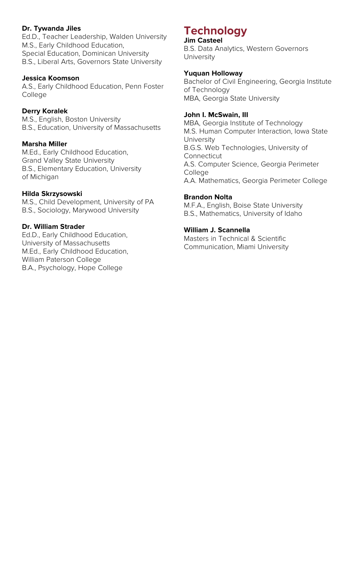### **Dr. Tywanda Jiles**

Ed.D., Teacher Leadership, Walden University M.S., Early Childhood Education, Special Education, Dominican University B.S., Liberal Arts, Governors State University

#### **Jessica Koomson**

A.S., Early Childhood Education, Penn Foster College

#### **Derry Koralek**

M.S., English, Boston University B.S., Education, University of Massachusetts

#### **Marsha Miller**

M.Ed., Early Childhood Education, Grand Valley State University B.S., Elementary Education, University of Michigan

#### **Hilda Skrzysowski**

M.S., Child Development, University of PA B.S., Sociology, Marywood University

### **Dr. William Strader**

Ed.D., Early Childhood Education, University of Massachusetts M.Ed., Early Childhood Education, William Paterson College B.A., Psychology, Hope College

## **Technology**

#### **Jim Casteel**

B.S. Data Analytics, Western Governors University

#### **Yuquan Holloway**

Bachelor of Civil Engineering, Georgia Institute of Technology MBA, Georgia State University

#### **John I. McSwain, III**

MBA, Georgia Institute of Technology M.S. Human Computer Interaction, Iowa State University B.G.S. Web Technologies, University of Connecticut A.S. Computer Science, Georgia Perimeter College A.A. Mathematics, Georgia Perimeter College

#### **Brandon Nolta**

M.F.A., English, Boise State University B.S., Mathematics, University of Idaho

#### **William J. Scannella**

Masters in Technical & Scientific Communication, Miami University